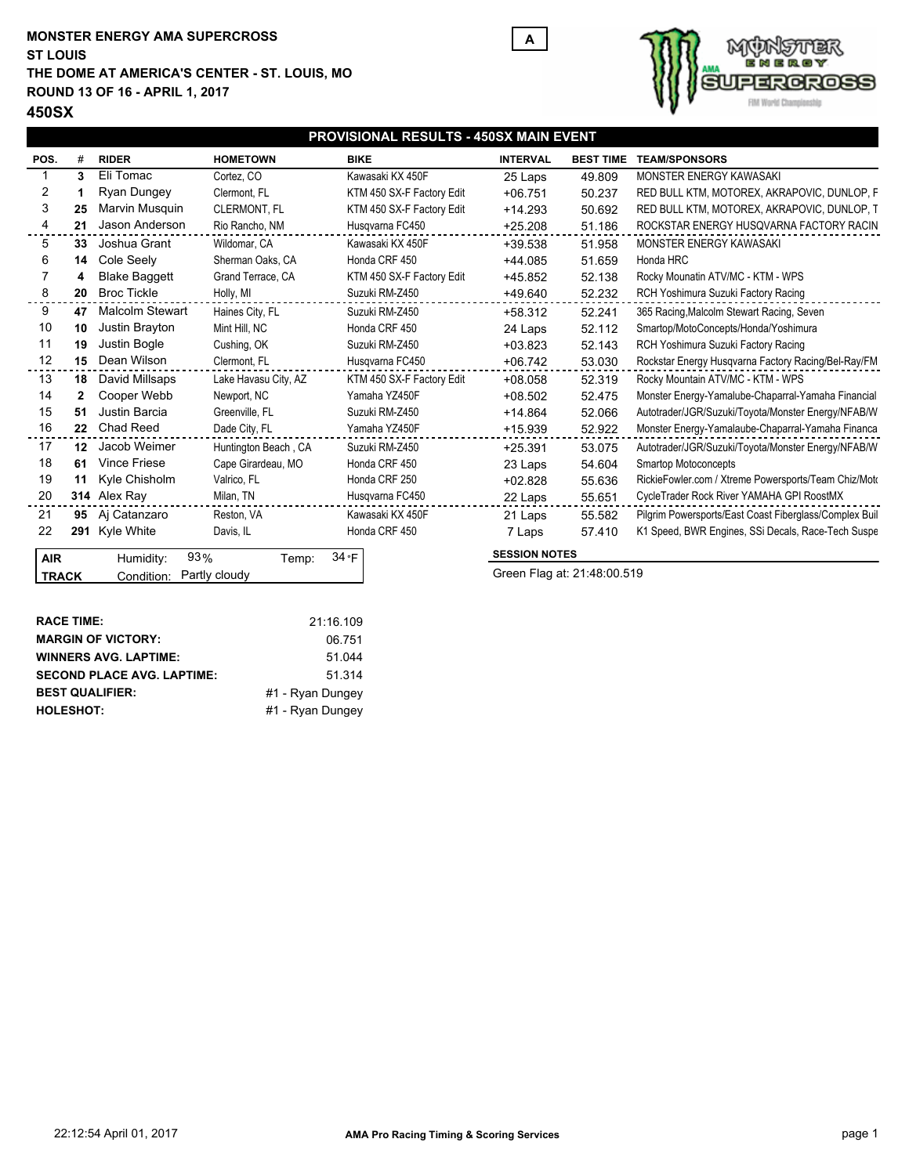### **MONSTER ENERGY AMA SUPERCROSS THE DOME AT AMERICA'S CENTER - ST. LOUIS, MO ROUND 13 OF 16 - APRIL 1, 2017 ST LOUIS**



# **IOSS** FIM Wor

## **450SX**

|              | PROVISIONAL RESULTS - 450SX MAIN EVENT |                          |                      |                           |                             |                  |                                                        |
|--------------|----------------------------------------|--------------------------|----------------------|---------------------------|-----------------------------|------------------|--------------------------------------------------------|
| POS.         |                                        | <b>RIDER</b>             | <b>HOMETOWN</b>      | <b>BIKE</b>               | <b>INTERVAL</b>             | <b>BEST TIME</b> | <b>TEAM/SPONSORS</b>                                   |
|              | з                                      | Eli Tomac                | Cortez, CO           | Kawasaki KX 450F          | 25 Laps                     | 49.809           | MONSTER ENERGY KAWASAKI                                |
| 2            |                                        | Ryan Dungey              | Clermont, FL         | KTM 450 SX-F Factory Edit | $+06.751$                   | 50.237           | RED BULL KTM, MOTOREX, AKRAPOVIC, DUNLOP, F            |
| 3            | 25                                     | Marvin Musquin           | <b>CLERMONT, FL</b>  | KTM 450 SX-F Factory Edit | $+14.293$                   | 50.692           | RED BULL KTM, MOTOREX, AKRAPOVIC, DUNLOP, T            |
| 4            | 21                                     | Jason Anderson           | Rio Rancho, NM       | Husqvarna FC450           | $+25.208$                   | 51.186           | ROCKSTAR ENERGY HUSQVARNA FACTORY RACIN                |
| 5            | 33                                     | Joshua Grant             | Wildomar, CA         | Kawasaki KX 450F          | $+39.538$                   | 51.958           | MONSTER ENERGY KAWASAKI                                |
| 6            | 14                                     | Cole Seely               | Sherman Oaks, CA     | Honda CRF 450             | $+44.085$                   | 51.659           | Honda HRC                                              |
|              |                                        | <b>Blake Baggett</b>     | Grand Terrace, CA    | KTM 450 SX-F Factory Edit | +45.852                     | 52.138           | Rocky Mounatin ATV/MC - KTM - WPS                      |
| 8            | 20                                     | <b>Broc Tickle</b>       | Holly, MI            | Suzuki RM-Z450            | +49.640                     | 52.232           | RCH Yoshimura Suzuki Factory Racing                    |
| 9            | 47                                     | <b>Malcolm Stewart</b>   | Haines City, FL      | Suzuki RM-Z450            | $+58.312$                   | 52.241           | 365 Racing, Malcolm Stewart Racing, Seven              |
| 10           | 10                                     | Justin Brayton           | Mint Hill, NC        | Honda CRF 450             | 24 Laps                     | 52.112           | Smartop/MotoConcepts/Honda/Yoshimura                   |
| 11           | 19                                     | Justin Bogle             | Cushing, OK          | Suzuki RM-Z450            | $+03.823$                   | 52.143           | RCH Yoshimura Suzuki Factory Racing                    |
| 12           |                                        | 15 Dean Wilson           | Clermont, FL         | Husqvarna FC450           | $+06.742$                   | 53.030           | Rockstar Energy Husqvarna Factory Racing/Bel-Ray/FM    |
| 13           |                                        | <b>18</b> David Millsaps | Lake Havasu City, AZ | KTM 450 SX-F Factory Edit | $+08.058$                   | 52.319           | Rocky Mountain ATV/MC - KTM - WPS                      |
| 14           | 2                                      | Cooper Webb              | Newport, NC          | Yamaha YZ450F             | $+08.502$                   | 52.475           | Monster Energy-Yamalube-Chaparral-Yamaha Financial     |
| 15           | 51                                     | Justin Barcia            | Greenville, FL       | Suzuki RM-Z450            | $+14.864$                   | 52.066           | Autotrader/JGR/Suzuki/Toyota/Monster Energy/NFAB/W     |
| 16           |                                        | 22 Chad Reed             | Dade City, FL        | Yamaha YZ450F             | $+15.939$                   | 52.922           | Monster Energy-Yamalaube-Chaparral-Yamaha Financa      |
| 17           |                                        | 12 Jacob Weimer          | Huntington Beach, CA | Suzuki RM-Z450            | $+25.391$                   | 53.075           | Autotrader/JGR/Suzuki/Toyota/Monster Energy/NFAB/W     |
| 18           | 61                                     | <b>Vince Friese</b>      | Cape Girardeau, MO   | Honda CRF 450             | 23 Laps                     | 54.604           | Smartop Motoconcepts                                   |
| 19           | 11                                     | Kyle Chisholm            | Valrico, FL          | Honda CRF 250             | $+02.828$                   | 55.636           | RickieFowler.com / Xtreme Powersports/Team Chiz/Moto   |
| 20           |                                        | 314 Alex Ray             | Milan, TN            | Husqvarna FC450           | 22 Laps                     | 55.651           | CycleTrader Rock River YAMAHA GPI RoostMX              |
| 21           |                                        | 95 Ai Catanzaro          | Reston, VA           | Kawasaki KX 450F          | 21 Laps                     | 55.582           | Pilgrim Powersports/East Coast Fiberglass/Complex Buil |
| 22           |                                        | 291 Kyle White           | Davis, IL            | Honda CRF 450             | 7 Laps                      | 57.410           | K1 Speed, BWR Engines, SSi Decals, Race-Tech Suspe     |
| <b>AIR</b>   |                                        | 93%<br>Humidity:         | Temp:                | $34 \cdot F$              | <b>SESSION NOTES</b>        |                  |                                                        |
| <b>TRACK</b> |                                        | Condition:               | Partly cloudy        |                           | Green Flag at: 21:48:00.519 |                  |                                                        |
|              |                                        |                          |                      |                           |                             |                  |                                                        |

**A**

| <b>RACE TIME:</b>                 | 21:16.109        |
|-----------------------------------|------------------|
| <b>MARGIN OF VICTORY:</b>         | 06.751           |
| <b>WINNERS AVG. LAPTIME:</b>      | 51 044           |
| <b>SECOND PLACE AVG. LAPTIME:</b> | 51.314           |
| <b>BEST QUALIFIER:</b>            | #1 - Rvan Dungev |
| <b>HOLESHOT:</b>                  | #1 - Rvan Dungev |